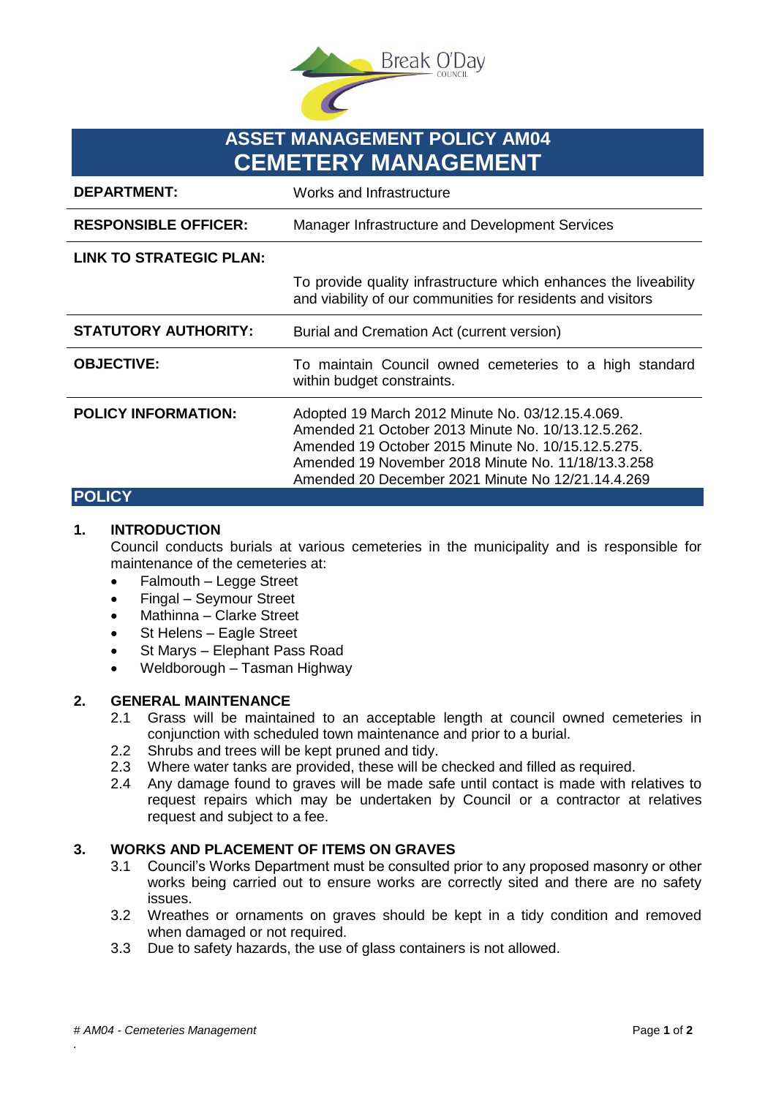

# **ASSET MANAGEMENT POLICY AM04 CEMETERY MANAGEMENT**

| <b>DEPARTMENT:</b>             | Works and Infrastructure                                                                                                                                                                                                                                                |
|--------------------------------|-------------------------------------------------------------------------------------------------------------------------------------------------------------------------------------------------------------------------------------------------------------------------|
| <b>RESPONSIBLE OFFICER:</b>    | Manager Infrastructure and Development Services                                                                                                                                                                                                                         |
| <b>LINK TO STRATEGIC PLAN:</b> |                                                                                                                                                                                                                                                                         |
|                                | To provide quality infrastructure which enhances the liveability<br>and viability of our communities for residents and visitors                                                                                                                                         |
| <b>STATUTORY AUTHORITY:</b>    | Burial and Cremation Act (current version)                                                                                                                                                                                                                              |
| <b>OBJECTIVE:</b>              | To maintain Council owned cemeteries to a high standard<br>within budget constraints.                                                                                                                                                                                   |
| <b>POLICY INFORMATION:</b>     | Adopted 19 March 2012 Minute No. 03/12.15.4.069.<br>Amended 21 October 2013 Minute No. 10/13.12.5.262.<br>Amended 19 October 2015 Minute No. 10/15.12.5.275.<br>Amended 19 November 2018 Minute No. 11/18/13.3.258<br>Amended 20 December 2021 Minute No 12/21.14.4.269 |
| IC.Y                           |                                                                                                                                                                                                                                                                         |

## **1. INTRODUCTION**

Council conducts burials at various cemeteries in the municipality and is responsible for maintenance of the cemeteries at:

- Falmouth Legge Street
- Fingal Seymour Street
- Mathinna Clarke Street
- St Helens Eagle Street
- St Marys Elephant Pass Road
- Weldborough Tasman Highway

#### **2. GENERAL MAINTENANCE**

- 2.1 Grass will be maintained to an acceptable length at council owned cemeteries in conjunction with scheduled town maintenance and prior to a burial.
- 2.2 Shrubs and trees will be kept pruned and tidy.
- 2.3 Where water tanks are provided, these will be checked and filled as required.
- 2.4 Any damage found to graves will be made safe until contact is made with relatives to request repairs which may be undertaken by Council or a contractor at relatives request and subject to a fee.

### **3. WORKS AND PLACEMENT OF ITEMS ON GRAVES**

- 3.1 Council's Works Department must be consulted prior to any proposed masonry or other works being carried out to ensure works are correctly sited and there are no safety issues.
- 3.2 Wreathes or ornaments on graves should be kept in a tidy condition and removed when damaged or not required.
- 3.3 Due to safety hazards, the use of glass containers is not allowed.

*.*